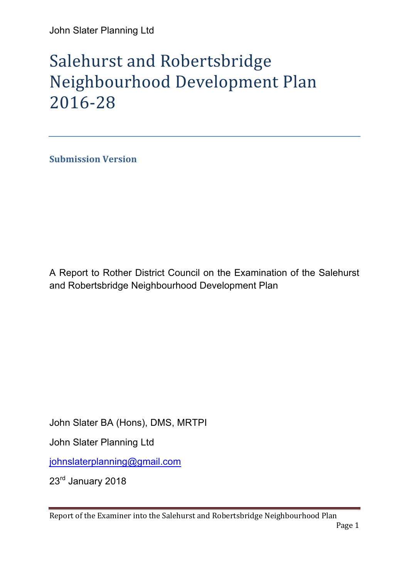# Salehurst and Robertsbridge Neighbourhood Development Plan 2016-28

**Submission Version** 

A Report to Rother District Council on the Examination of the Salehurst and Robertsbridge Neighbourhood Development Plan

John Slater BA (Hons), DMS, MRTPI

John Slater Planning Ltd

johnslaterplanning@gmail.com

23rd January 2018

Report of the Examiner into the Salehurst and Robertsbridge Neighbourhood Plan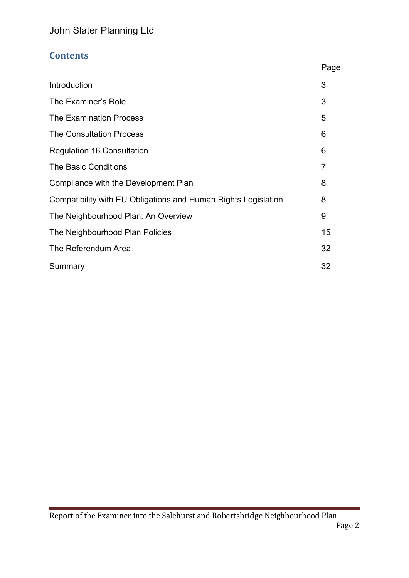# **Contents**

|                                                                | Page |
|----------------------------------------------------------------|------|
| Introduction                                                   | 3    |
| The Examiner's Role                                            | 3    |
| <b>The Examination Process</b>                                 | 5    |
| <b>The Consultation Process</b>                                | 6    |
| <b>Regulation 16 Consultation</b>                              | 6    |
| <b>The Basic Conditions</b>                                    | 7    |
| Compliance with the Development Plan                           | 8    |
| Compatibility with EU Obligations and Human Rights Legislation | 8    |
| The Neighbourhood Plan: An Overview                            | 9    |
| The Neighbourhood Plan Policies                                | 15   |
| The Referendum Area                                            | 32   |
| Summary                                                        | 32   |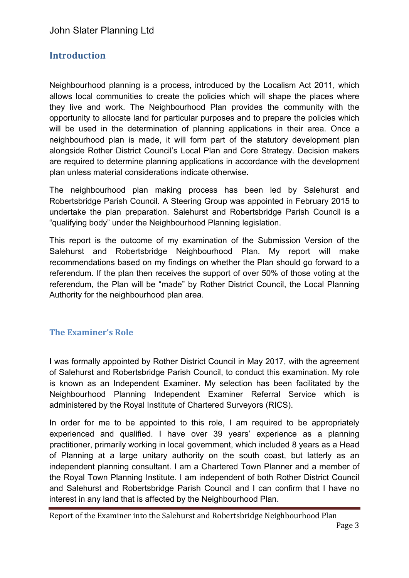# **Introduction**

Neighbourhood planning is a process, introduced by the Localism Act 2011, which allows local communities to create the policies which will shape the places where they live and work. The Neighbourhood Plan provides the community with the opportunity to allocate land for particular purposes and to prepare the policies which will be used in the determination of planning applications in their area. Once a neighbourhood plan is made, it will form part of the statutory development plan alongside Rother District Council's Local Plan and Core Strategy. Decision makers are required to determine planning applications in accordance with the development plan unless material considerations indicate otherwise.

The neighbourhood plan making process has been led by Salehurst and Robertsbridge Parish Council. A Steering Group was appointed in February 2015 to undertake the plan preparation. Salehurst and Robertsbridge Parish Council is a "qualifying body" under the Neighbourhood Planning legislation.

This report is the outcome of my examination of the Submission Version of the Salehurst and Robertsbridge Neighbourhood Plan. My report will make recommendations based on my findings on whether the Plan should go forward to a referendum. If the plan then receives the support of over 50% of those voting at the referendum, the Plan will be "made" by Rother District Council, the Local Planning Authority for the neighbourhood plan area.

## **The Examiner's Role**

I was formally appointed by Rother District Council in May 2017, with the agreement of Salehurst and Robertsbridge Parish Council, to conduct this examination. My role is known as an Independent Examiner. My selection has been facilitated by the Neighbourhood Planning Independent Examiner Referral Service which is administered by the Royal Institute of Chartered Surveyors (RICS).

In order for me to be appointed to this role, I am required to be appropriately experienced and qualified. I have over 39 years' experience as a planning practitioner, primarily working in local government, which included 8 years as a Head of Planning at a large unitary authority on the south coast, but latterly as an independent planning consultant. I am a Chartered Town Planner and a member of the Royal Town Planning Institute. I am independent of both Rother District Council and Salehurst and Robertsbridge Parish Council and I can confirm that I have no interest in any land that is affected by the Neighbourhood Plan.

Report of the Examiner into the Salehurst and Robertsbridge Neighbourhood Plan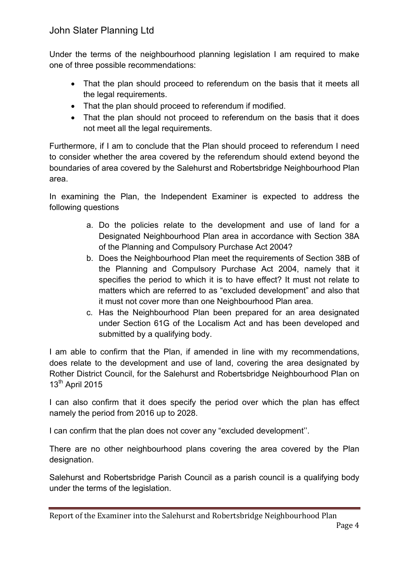Under the terms of the neighbourhood planning legislation I am required to make one of three possible recommendations:

- That the plan should proceed to referendum on the basis that it meets all the legal requirements.
- That the plan should proceed to referendum if modified.
- That the plan should not proceed to referendum on the basis that it does not meet all the legal requirements.

Furthermore, if I am to conclude that the Plan should proceed to referendum I need to consider whether the area covered by the referendum should extend beyond the boundaries of area covered by the Salehurst and Robertsbridge Neighbourhood Plan area.

In examining the Plan, the Independent Examiner is expected to address the following questions

- a. Do the policies relate to the development and use of land for a Designated Neighbourhood Plan area in accordance with Section 38A of the Planning and Compulsory Purchase Act 2004?
- b. Does the Neighbourhood Plan meet the requirements of Section 38B of the Planning and Compulsory Purchase Act 2004, namely that it specifies the period to which it is to have effect? It must not relate to matters which are referred to as "excluded development" and also that it must not cover more than one Neighbourhood Plan area.
- c. Has the Neighbourhood Plan been prepared for an area designated under Section 61G of the Localism Act and has been developed and submitted by a qualifying body.

I am able to confirm that the Plan, if amended in line with my recommendations, does relate to the development and use of land, covering the area designated by Rother District Council, for the Salehurst and Robertsbridge Neighbourhood Plan on 13<sup>th</sup> April 2015

I can also confirm that it does specify the period over which the plan has effect namely the period from 2016 up to 2028.

I can confirm that the plan does not cover any "excluded development''.

There are no other neighbourhood plans covering the area covered by the Plan designation.

Salehurst and Robertsbridge Parish Council as a parish council is a qualifying body under the terms of the legislation.

Report of the Examiner into the Salehurst and Robertsbridge Neighbourhood Plan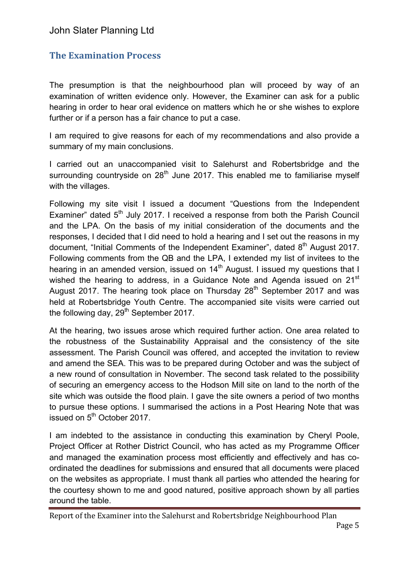# **The Examination Process**

The presumption is that the neighbourhood plan will proceed by way of an examination of written evidence only. However, the Examiner can ask for a public hearing in order to hear oral evidence on matters which he or she wishes to explore further or if a person has a fair chance to put a case.

I am required to give reasons for each of my recommendations and also provide a summary of my main conclusions.

I carried out an unaccompanied visit to Salehurst and Robertsbridge and the surrounding countryside on  $28<sup>th</sup>$  June 2017. This enabled me to familiarise myself with the villages.

Following my site visit I issued a document "Questions from the Independent Examiner" dated  $5<sup>th</sup>$  July 2017. I received a response from both the Parish Council and the LPA. On the basis of my initial consideration of the documents and the responses, I decided that I did need to hold a hearing and I set out the reasons in my document, "Initial Comments of the Independent Examiner", dated  $8<sup>th</sup>$  August 2017. Following comments from the QB and the LPA, I extended my list of invitees to the hearing in an amended version, issued on 14<sup>th</sup> August. I issued my questions that I wished the hearing to address, in a Guidance Note and Agenda issued on 21<sup>st</sup> August 2017. The hearing took place on Thursday  $28<sup>th</sup>$  September 2017 and was held at Robertsbridge Youth Centre. The accompanied site visits were carried out the following day,  $29<sup>th</sup>$  September 2017.

At the hearing, two issues arose which required further action. One area related to the robustness of the Sustainability Appraisal and the consistency of the site assessment. The Parish Council was offered, and accepted the invitation to review and amend the SEA. This was to be prepared during October and was the subject of a new round of consultation in November. The second task related to the possibility of securing an emergency access to the Hodson Mill site on land to the north of the site which was outside the flood plain. I gave the site owners a period of two months to pursue these options. I summarised the actions in a Post Hearing Note that was issued on  $5<sup>th</sup>$  October 2017.

I am indebted to the assistance in conducting this examination by Cheryl Poole, Project Officer at Rother District Council, who has acted as my Programme Officer and managed the examination process most efficiently and effectively and has coordinated the deadlines for submissions and ensured that all documents were placed on the websites as appropriate. I must thank all parties who attended the hearing for the courtesy shown to me and good natured, positive approach shown by all parties around the table.

Report of the Examiner into the Salehurst and Robertsbridge Neighbourhood Plan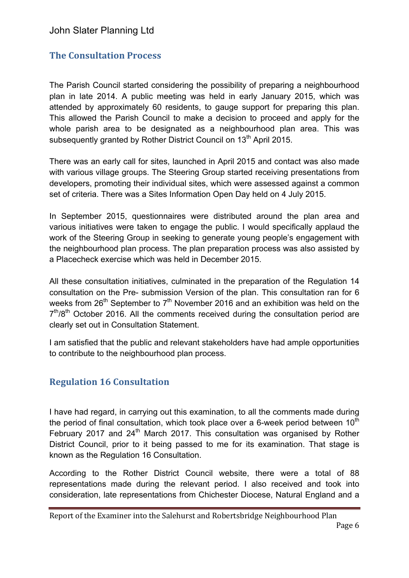# **The Consultation Process**

The Parish Council started considering the possibility of preparing a neighbourhood plan in late 2014. A public meeting was held in early January 2015, which was attended by approximately 60 residents, to gauge support for preparing this plan. This allowed the Parish Council to make a decision to proceed and apply for the whole parish area to be designated as a neighbourhood plan area. This was subsequently granted by Rother District Council on 13<sup>th</sup> April 2015.

There was an early call for sites, launched in April 2015 and contact was also made with various village groups. The Steering Group started receiving presentations from developers, promoting their individual sites, which were assessed against a common set of criteria. There was a Sites Information Open Day held on 4 July 2015.

In September 2015, questionnaires were distributed around the plan area and various initiatives were taken to engage the public. I would specifically applaud the work of the Steering Group in seeking to generate young people's engagement with the neighbourhood plan process. The plan preparation process was also assisted by a Placecheck exercise which was held in December 2015.

All these consultation initiatives, culminated in the preparation of the Regulation 14 consultation on the Pre- submission Version of the plan. This consultation ran for 6 weeks from  $26<sup>th</sup>$  September to  $7<sup>th</sup>$  November 2016 and an exhibition was held on the  $7<sup>th</sup>/8<sup>th</sup>$  October 2016. All the comments received during the consultation period are clearly set out in Consultation Statement.

I am satisfied that the public and relevant stakeholders have had ample opportunities to contribute to the neighbourhood plan process.

# **Regulation 16 Consultation**

I have had regard, in carrying out this examination, to all the comments made during the period of final consultation, which took place over a 6-week period between  $10<sup>th</sup>$ February 2017 and  $24<sup>th</sup>$  March 2017. This consultation was organised by Rother District Council, prior to it being passed to me for its examination. That stage is known as the Regulation 16 Consultation.

According to the Rother District Council website, there were a total of 88 representations made during the relevant period. I also received and took into consideration, late representations from Chichester Diocese, Natural England and a

Report of the Examiner into the Salehurst and Robertsbridge Neighbourhood Plan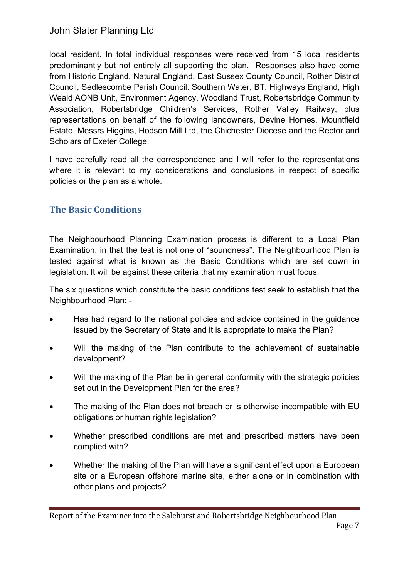local resident. In total individual responses were received from 15 local residents predominantly but not entirely all supporting the plan. Responses also have come from Historic England, Natural England, East Sussex County Council, Rother District Council, Sedlescombe Parish Council. Southern Water, BT, Highways England, High Weald AONB Unit, Environment Agency, Woodland Trust, Robertsbridge Community Association, Robertsbridge Children's Services, Rother Valley Railway, plus representations on behalf of the following landowners, Devine Homes, Mountfield Estate, Messrs Higgins, Hodson Mill Ltd, the Chichester Diocese and the Rector and Scholars of Exeter College.

I have carefully read all the correspondence and I will refer to the representations where it is relevant to my considerations and conclusions in respect of specific policies or the plan as a whole.

# **The Basic Conditions**

The Neighbourhood Planning Examination process is different to a Local Plan Examination, in that the test is not one of "soundness". The Neighbourhood Plan is tested against what is known as the Basic Conditions which are set down in legislation. It will be against these criteria that my examination must focus.

The six questions which constitute the basic conditions test seek to establish that the Neighbourhood Plan: -

- Has had regard to the national policies and advice contained in the guidance issued by the Secretary of State and it is appropriate to make the Plan?
- Will the making of the Plan contribute to the achievement of sustainable development?
- Will the making of the Plan be in general conformity with the strategic policies set out in the Development Plan for the area?
- The making of the Plan does not breach or is otherwise incompatible with EU obligations or human rights legislation?
- Whether prescribed conditions are met and prescribed matters have been complied with?
- Whether the making of the Plan will have a significant effect upon a European site or a European offshore marine site, either alone or in combination with other plans and projects?

Report of the Examiner into the Salehurst and Robertsbridge Neighbourhood Plan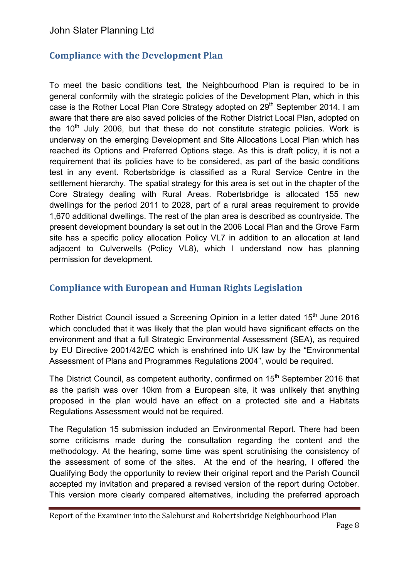# **Compliance with the Development Plan**

To meet the basic conditions test, the Neighbourhood Plan is required to be in general conformity with the strategic policies of the Development Plan, which in this case is the Rother Local Plan Core Strategy adopted on 29<sup>th</sup> September 2014. I am aware that there are also saved policies of the Rother District Local Plan, adopted on the  $10<sup>th</sup>$  July 2006, but that these do not constitute strategic policies. Work is underway on the emerging Development and Site Allocations Local Plan which has reached its Options and Preferred Options stage. As this is draft policy, it is not a requirement that its policies have to be considered, as part of the basic conditions test in any event. Robertsbridge is classified as a Rural Service Centre in the settlement hierarchy. The spatial strategy for this area is set out in the chapter of the Core Strategy dealing with Rural Areas. Robertsbridge is allocated 155 new dwellings for the period 2011 to 2028, part of a rural areas requirement to provide 1,670 additional dwellings. The rest of the plan area is described as countryside. The present development boundary is set out in the 2006 Local Plan and the Grove Farm site has a specific policy allocation Policy VL7 in addition to an allocation at land adjacent to Culverwells (Policy VL8), which I understand now has planning permission for development.

# **Compliance with European and Human Rights Legislation**

Rother District Council issued a Screening Opinion in a letter dated 15<sup>th</sup> June 2016 which concluded that it was likely that the plan would have significant effects on the environment and that a full Strategic Environmental Assessment (SEA), as required by EU Directive 2001/42/EC which is enshrined into UK law by the "Environmental Assessment of Plans and Programmes Regulations 2004", would be required.

The District Council, as competent authority, confirmed on 15<sup>th</sup> September 2016 that as the parish was over 10km from a European site, it was unlikely that anything proposed in the plan would have an effect on a protected site and a Habitats Regulations Assessment would not be required.

The Regulation 15 submission included an Environmental Report. There had been some criticisms made during the consultation regarding the content and the methodology. At the hearing, some time was spent scrutinising the consistency of the assessment of some of the sites. At the end of the hearing, I offered the Qualifying Body the opportunity to review their original report and the Parish Council accepted my invitation and prepared a revised version of the report during October. This version more clearly compared alternatives, including the preferred approach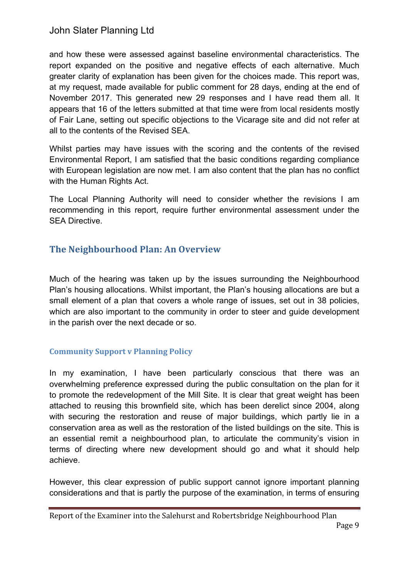and how these were assessed against baseline environmental characteristics. The report expanded on the positive and negative effects of each alternative. Much greater clarity of explanation has been given for the choices made. This report was, at my request, made available for public comment for 28 days, ending at the end of November 2017. This generated new 29 responses and I have read them all. It appears that 16 of the letters submitted at that time were from local residents mostly of Fair Lane, setting out specific objections to the Vicarage site and did not refer at all to the contents of the Revised SEA.

Whilst parties may have issues with the scoring and the contents of the revised Environmental Report, I am satisfied that the basic conditions regarding compliance with European legislation are now met. I am also content that the plan has no conflict with the Human Rights Act.

The Local Planning Authority will need to consider whether the revisions I am recommending in this report, require further environmental assessment under the SEA Directive.

# **The Neighbourhood Plan: An Overview**

Much of the hearing was taken up by the issues surrounding the Neighbourhood Plan's housing allocations. Whilst important, the Plan's housing allocations are but a small element of a plan that covers a whole range of issues, set out in 38 policies, which are also important to the community in order to steer and quide development in the parish over the next decade or so.

## **Community Support v Planning Policy**

In my examination, I have been particularly conscious that there was an overwhelming preference expressed during the public consultation on the plan for it to promote the redevelopment of the Mill Site. It is clear that great weight has been attached to reusing this brownfield site, which has been derelict since 2004, along with securing the restoration and reuse of major buildings, which partly lie in a conservation area as well as the restoration of the listed buildings on the site. This is an essential remit a neighbourhood plan, to articulate the community's vision in terms of directing where new development should go and what it should help achieve.

However, this clear expression of public support cannot ignore important planning considerations and that is partly the purpose of the examination, in terms of ensuring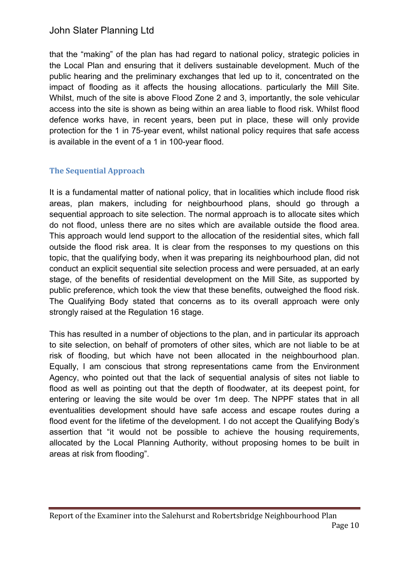that the "making" of the plan has had regard to national policy, strategic policies in the Local Plan and ensuring that it delivers sustainable development. Much of the public hearing and the preliminary exchanges that led up to it, concentrated on the impact of flooding as it affects the housing allocations. particularly the Mill Site. Whilst, much of the site is above Flood Zone 2 and 3, importantly, the sole vehicular access into the site is shown as being within an area liable to flood risk. Whilst flood defence works have, in recent years, been put in place, these will only provide protection for the 1 in 75-year event, whilst national policy requires that safe access is available in the event of a 1 in 100-year flood.

## **The Sequential Approach**

It is a fundamental matter of national policy, that in localities which include flood risk areas, plan makers, including for neighbourhood plans, should go through a sequential approach to site selection. The normal approach is to allocate sites which do not flood, unless there are no sites which are available outside the flood area. This approach would lend support to the allocation of the residential sites, which fall outside the flood risk area. It is clear from the responses to my questions on this topic, that the qualifying body, when it was preparing its neighbourhood plan, did not conduct an explicit sequential site selection process and were persuaded, at an early stage, of the benefits of residential development on the Mill Site, as supported by public preference, which took the view that these benefits, outweighed the flood risk. The Qualifying Body stated that concerns as to its overall approach were only strongly raised at the Regulation 16 stage.

This has resulted in a number of objections to the plan, and in particular its approach to site selection, on behalf of promoters of other sites, which are not liable to be at risk of flooding, but which have not been allocated in the neighbourhood plan. Equally, I am conscious that strong representations came from the Environment Agency, who pointed out that the lack of sequential analysis of sites not liable to flood as well as pointing out that the depth of floodwater, at its deepest point, for entering or leaving the site would be over 1m deep. The NPPF states that in all eventualities development should have safe access and escape routes during a flood event for the lifetime of the development. I do not accept the Qualifying Body's assertion that "it would not be possible to achieve the housing requirements, allocated by the Local Planning Authority, without proposing homes to be built in areas at risk from flooding".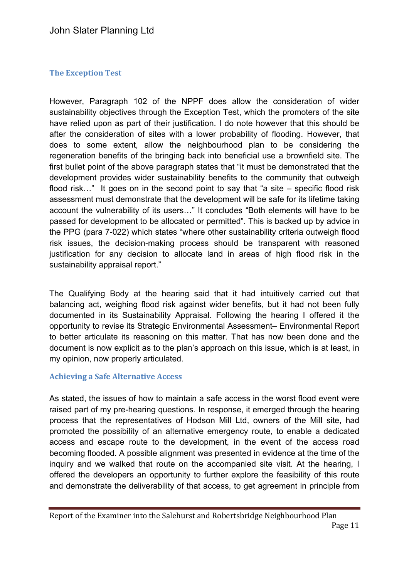## **The Exception Test**

However, Paragraph 102 of the NPPF does allow the consideration of wider sustainability objectives through the Exception Test, which the promoters of the site have relied upon as part of their justification. I do note however that this should be after the consideration of sites with a lower probability of flooding. However, that does to some extent, allow the neighbourhood plan to be considering the regeneration benefits of the bringing back into beneficial use a brownfield site. The first bullet point of the above paragraph states that "it must be demonstrated that the development provides wider sustainability benefits to the community that outweigh flood risk..." It goes on in the second point to say that "a site – specific flood risk assessment must demonstrate that the development will be safe for its lifetime taking account the vulnerability of its users…" It concludes "Both elements will have to be passed for development to be allocated or permitted". This is backed up by advice in the PPG (para 7-022) which states "where other sustainability criteria outweigh flood risk issues, the decision-making process should be transparent with reasoned justification for any decision to allocate land in areas of high flood risk in the sustainability appraisal report."

The Qualifying Body at the hearing said that it had intuitively carried out that balancing act, weighing flood risk against wider benefits, but it had not been fully documented in its Sustainability Appraisal. Following the hearing I offered it the opportunity to revise its Strategic Environmental Assessment– Environmental Report to better articulate its reasoning on this matter. That has now been done and the document is now explicit as to the plan's approach on this issue, which is at least, in my opinion, now properly articulated.

#### **Achieving a Safe Alternative Access**

As stated, the issues of how to maintain a safe access in the worst flood event were raised part of my pre-hearing questions. In response, it emerged through the hearing process that the representatives of Hodson Mill Ltd, owners of the Mill site, had promoted the possibility of an alternative emergency route, to enable a dedicated access and escape route to the development, in the event of the access road becoming flooded. A possible alignment was presented in evidence at the time of the inquiry and we walked that route on the accompanied site visit. At the hearing, I offered the developers an opportunity to further explore the feasibility of this route and demonstrate the deliverability of that access, to get agreement in principle from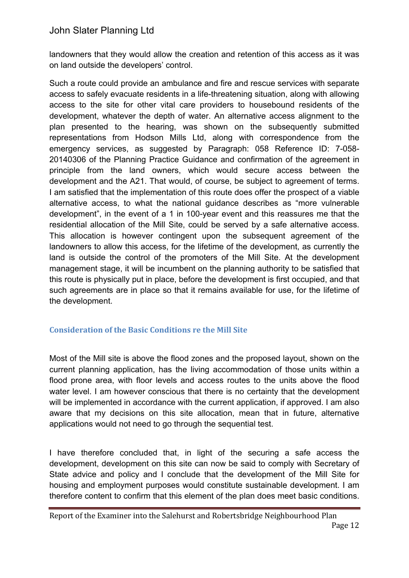landowners that they would allow the creation and retention of this access as it was on land outside the developers' control.

Such a route could provide an ambulance and fire and rescue services with separate access to safely evacuate residents in a life-threatening situation, along with allowing access to the site for other vital care providers to housebound residents of the development, whatever the depth of water. An alternative access alignment to the plan presented to the hearing, was shown on the subsequently submitted representations from Hodson Mills Ltd, along with correspondence from the emergency services, as suggested by Paragraph: 058 Reference ID: 7-058- 20140306 of the Planning Practice Guidance and confirmation of the agreement in principle from the land owners, which would secure access between the development and the A21. That would, of course, be subject to agreement of terms. I am satisfied that the implementation of this route does offer the prospect of a viable alternative access, to what the national guidance describes as "more vulnerable development", in the event of a 1 in 100-year event and this reassures me that the residential allocation of the Mill Site, could be served by a safe alternative access. This allocation is however contingent upon the subsequent agreement of the landowners to allow this access, for the lifetime of the development, as currently the land is outside the control of the promoters of the Mill Site. At the development management stage, it will be incumbent on the planning authority to be satisfied that this route is physically put in place, before the development is first occupied, and that such agreements are in place so that it remains available for use, for the lifetime of the development.

## **Consideration of the Basic Conditions re the Mill Site**

Most of the Mill site is above the flood zones and the proposed layout, shown on the current planning application, has the living accommodation of those units within a flood prone area, with floor levels and access routes to the units above the flood water level. I am however conscious that there is no certainty that the development will be implemented in accordance with the current application, if approved. I am also aware that my decisions on this site allocation, mean that in future, alternative applications would not need to go through the sequential test.

I have therefore concluded that, in light of the securing a safe access the development, development on this site can now be said to comply with Secretary of State advice and policy and I conclude that the development of the Mill Site for housing and employment purposes would constitute sustainable development. I am therefore content to confirm that this element of the plan does meet basic conditions.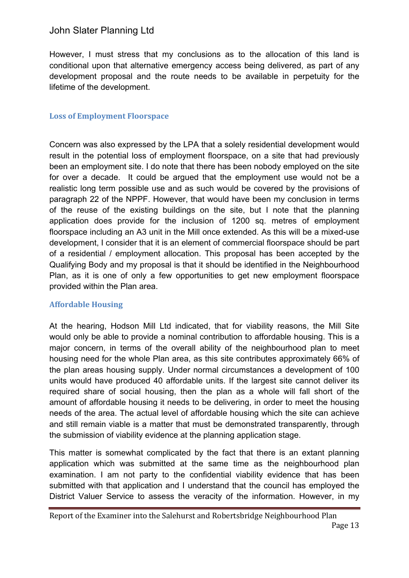However, I must stress that my conclusions as to the allocation of this land is conditional upon that alternative emergency access being delivered, as part of any development proposal and the route needs to be available in perpetuity for the lifetime of the development.

## **Loss of Employment Floorspace**

Concern was also expressed by the LPA that a solely residential development would result in the potential loss of employment floorspace, on a site that had previously been an employment site. I do note that there has been nobody employed on the site for over a decade. It could be argued that the employment use would not be a realistic long term possible use and as such would be covered by the provisions of paragraph 22 of the NPPF. However, that would have been my conclusion in terms of the reuse of the existing buildings on the site, but I note that the planning application does provide for the inclusion of 1200 sq. metres of employment floorspace including an A3 unit in the Mill once extended. As this will be a mixed-use development, I consider that it is an element of commercial floorspace should be part of a residential / employment allocation. This proposal has been accepted by the Qualifying Body and my proposal is that it should be identified in the Neighbourhood Plan, as it is one of only a few opportunities to get new employment floorspace provided within the Plan area.

## **Affordable Housing**

At the hearing, Hodson Mill Ltd indicated, that for viability reasons, the Mill Site would only be able to provide a nominal contribution to affordable housing. This is a major concern, in terms of the overall ability of the neighbourhood plan to meet housing need for the whole Plan area, as this site contributes approximately 66% of the plan areas housing supply. Under normal circumstances a development of 100 units would have produced 40 affordable units. If the largest site cannot deliver its required share of social housing, then the plan as a whole will fall short of the amount of affordable housing it needs to be delivering, in order to meet the housing needs of the area. The actual level of affordable housing which the site can achieve and still remain viable is a matter that must be demonstrated transparently, through the submission of viability evidence at the planning application stage.

This matter is somewhat complicated by the fact that there is an extant planning application which was submitted at the same time as the neighbourhood plan examination. I am not party to the confidential viability evidence that has been submitted with that application and I understand that the council has employed the District Valuer Service to assess the veracity of the information. However, in my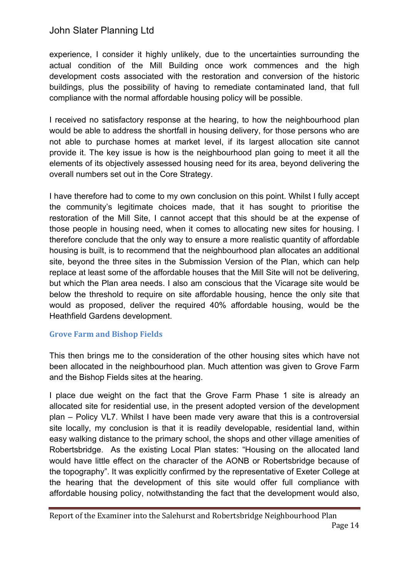experience, I consider it highly unlikely, due to the uncertainties surrounding the actual condition of the Mill Building once work commences and the high development costs associated with the restoration and conversion of the historic buildings, plus the possibility of having to remediate contaminated land, that full compliance with the normal affordable housing policy will be possible.

I received no satisfactory response at the hearing, to how the neighbourhood plan would be able to address the shortfall in housing delivery, for those persons who are not able to purchase homes at market level, if its largest allocation site cannot provide it. The key issue is how is the neighbourhood plan going to meet it all the elements of its objectively assessed housing need for its area, beyond delivering the overall numbers set out in the Core Strategy.

I have therefore had to come to my own conclusion on this point. Whilst I fully accept the community's legitimate choices made, that it has sought to prioritise the restoration of the Mill Site, I cannot accept that this should be at the expense of those people in housing need, when it comes to allocating new sites for housing. I therefore conclude that the only way to ensure a more realistic quantity of affordable housing is built, is to recommend that the neighbourhood plan allocates an additional site, beyond the three sites in the Submission Version of the Plan, which can help replace at least some of the affordable houses that the Mill Site will not be delivering, but which the Plan area needs. I also am conscious that the Vicarage site would be below the threshold to require on site affordable housing, hence the only site that would as proposed, deliver the required 40% affordable housing, would be the Heathfield Gardens development.

## **Grove Farm and Bishop Fields**

This then brings me to the consideration of the other housing sites which have not been allocated in the neighbourhood plan. Much attention was given to Grove Farm and the Bishop Fields sites at the hearing.

I place due weight on the fact that the Grove Farm Phase 1 site is already an allocated site for residential use, in the present adopted version of the development plan – Policy VL7. Whilst I have been made very aware that this is a controversial site locally, my conclusion is that it is readily developable, residential land, within easy walking distance to the primary school, the shops and other village amenities of Robertsbridge. As the existing Local Plan states: "Housing on the allocated land would have little effect on the character of the AONB or Robertsbridge because of the topography". It was explicitly confirmed by the representative of Exeter College at the hearing that the development of this site would offer full compliance with affordable housing policy, notwithstanding the fact that the development would also,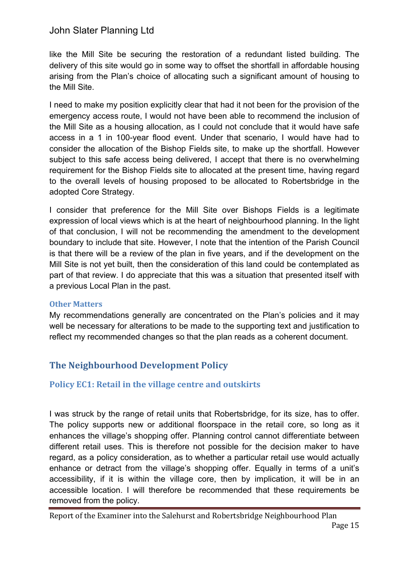like the Mill Site be securing the restoration of a redundant listed building. The delivery of this site would go in some way to offset the shortfall in affordable housing arising from the Plan's choice of allocating such a significant amount of housing to the Mill Site.

I need to make my position explicitly clear that had it not been for the provision of the emergency access route, I would not have been able to recommend the inclusion of the Mill Site as a housing allocation, as I could not conclude that it would have safe access in a 1 in 100-year flood event. Under that scenario, I would have had to consider the allocation of the Bishop Fields site, to make up the shortfall. However subject to this safe access being delivered, I accept that there is no overwhelming requirement for the Bishop Fields site to allocated at the present time, having regard to the overall levels of housing proposed to be allocated to Robertsbridge in the adopted Core Strategy.

I consider that preference for the Mill Site over Bishops Fields is a legitimate expression of local views which is at the heart of neighbourhood planning. In the light of that conclusion, I will not be recommending the amendment to the development boundary to include that site. However, I note that the intention of the Parish Council is that there will be a review of the plan in five years, and if the development on the Mill Site is not yet built, then the consideration of this land could be contemplated as part of that review. I do appreciate that this was a situation that presented itself with a previous Local Plan in the past.

#### **Other Matters**

My recommendations generally are concentrated on the Plan's policies and it may well be necessary for alterations to be made to the supporting text and justification to reflect my recommended changes so that the plan reads as a coherent document.

# **The Neighbourhood Development Policy**

## **Policy EC1: Retail in the village centre and outskirts**

I was struck by the range of retail units that Robertsbridge, for its size, has to offer. The policy supports new or additional floorspace in the retail core, so long as it enhances the village's shopping offer. Planning control cannot differentiate between different retail uses. This is therefore not possible for the decision maker to have regard, as a policy consideration, as to whether a particular retail use would actually enhance or detract from the village's shopping offer. Equally in terms of a unit's accessibility, if it is within the village core, then by implication, it will be in an accessible location. I will therefore be recommended that these requirements be removed from the policy.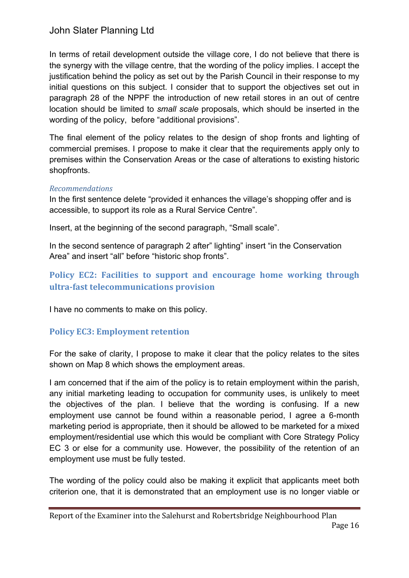In terms of retail development outside the village core, I do not believe that there is the synergy with the village centre, that the wording of the policy implies. I accept the justification behind the policy as set out by the Parish Council in their response to my initial questions on this subject. I consider that to support the objectives set out in paragraph 28 of the NPPF the introduction of new retail stores in an out of centre location should be limited to *small scale* proposals, which should be inserted in the wording of the policy, before "additional provisions".

The final element of the policy relates to the design of shop fronts and lighting of commercial premises. I propose to make it clear that the requirements apply only to premises within the Conservation Areas or the case of alterations to existing historic shopfronts.

#### *Recommendations*

In the first sentence delete "provided it enhances the village's shopping offer and is accessible, to support its role as a Rural Service Centre".

Insert, at the beginning of the second paragraph, "Small scale".

In the second sentence of paragraph 2 after" lighting" insert "in the Conservation Area" and insert "all" before "historic shop fronts".

# **Policy EC2: Facilities to support and encourage home working through ultra-fast telecommunications provision**

I have no comments to make on this policy.

## **Policy EC3: Employment retention**

For the sake of clarity, I propose to make it clear that the policy relates to the sites shown on Map 8 which shows the employment areas.

I am concerned that if the aim of the policy is to retain employment within the parish, any initial marketing leading to occupation for community uses, is unlikely to meet the objectives of the plan. I believe that the wording is confusing. If a new employment use cannot be found within a reasonable period, I agree a 6-month marketing period is appropriate, then it should be allowed to be marketed for a mixed employment/residential use which this would be compliant with Core Strategy Policy EC 3 or else for a community use. However, the possibility of the retention of an employment use must be fully tested.

The wording of the policy could also be making it explicit that applicants meet both criterion one, that it is demonstrated that an employment use is no longer viable or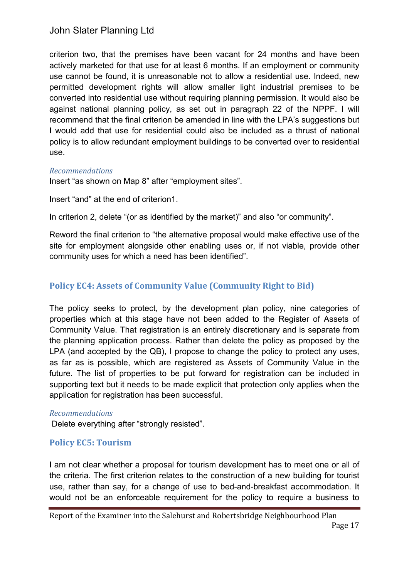criterion two, that the premises have been vacant for 24 months and have been actively marketed for that use for at least 6 months. If an employment or community use cannot be found, it is unreasonable not to allow a residential use. Indeed, new permitted development rights will allow smaller light industrial premises to be converted into residential use without requiring planning permission. It would also be against national planning policy, as set out in paragraph 22 of the NPPF. I will recommend that the final criterion be amended in line with the LPA's suggestions but I would add that use for residential could also be included as a thrust of national policy is to allow redundant employment buildings to be converted over to residential use.

#### *Recommendations*

Insert "as shown on Map 8" after "employment sites".

Insert "and" at the end of criterion1.

In criterion 2, delete "(or as identified by the market)" and also "or community".

Reword the final criterion to "the alternative proposal would make effective use of the site for employment alongside other enabling uses or, if not viable, provide other community uses for which a need has been identified".

## **Policy EC4: Assets of Community Value (Community Right to Bid)**

The policy seeks to protect, by the development plan policy, nine categories of properties which at this stage have not been added to the Register of Assets of Community Value. That registration is an entirely discretionary and is separate from the planning application process. Rather than delete the policy as proposed by the LPA (and accepted by the QB), I propose to change the policy to protect any uses, as far as is possible, which are registered as Assets of Community Value in the future. The list of properties to be put forward for registration can be included in supporting text but it needs to be made explicit that protection only applies when the application for registration has been successful.

#### *Recommendations*

Delete everything after "strongly resisted".

## **Policy EC5: Tourism**

I am not clear whether a proposal for tourism development has to meet one or all of the criteria. The first criterion relates to the construction of a new building for tourist use, rather than say, for a change of use to bed-and-breakfast accommodation. It would not be an enforceable requirement for the policy to require a business to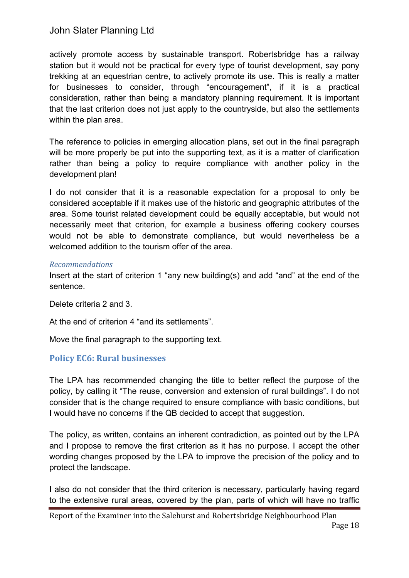actively promote access by sustainable transport. Robertsbridge has a railway station but it would not be practical for every type of tourist development, say pony trekking at an equestrian centre, to actively promote its use. This is really a matter for businesses to consider, through "encouragement", if it is a practical consideration, rather than being a mandatory planning requirement. It is important that the last criterion does not just apply to the countryside, but also the settlements within the plan area.

The reference to policies in emerging allocation plans, set out in the final paragraph will be more properly be put into the supporting text, as it is a matter of clarification rather than being a policy to require compliance with another policy in the development plan!

I do not consider that it is a reasonable expectation for a proposal to only be considered acceptable if it makes use of the historic and geographic attributes of the area. Some tourist related development could be equally acceptable, but would not necessarily meet that criterion, for example a business offering cookery courses would not be able to demonstrate compliance, but would nevertheless be a welcomed addition to the tourism offer of the area.

#### *Recommendations*

Insert at the start of criterion 1 "any new building(s) and add "and" at the end of the sentence.

Delete criteria 2 and 3.

At the end of criterion 4 "and its settlements".

Move the final paragraph to the supporting text.

## **Policy EC6: Rural businesses**

The LPA has recommended changing the title to better reflect the purpose of the policy, by calling it "The reuse, conversion and extension of rural buildings". I do not consider that is the change required to ensure compliance with basic conditions, but I would have no concerns if the QB decided to accept that suggestion.

The policy, as written, contains an inherent contradiction, as pointed out by the LPA and I propose to remove the first criterion as it has no purpose. I accept the other wording changes proposed by the LPA to improve the precision of the policy and to protect the landscape.

I also do not consider that the third criterion is necessary, particularly having regard to the extensive rural areas, covered by the plan, parts of which will have no traffic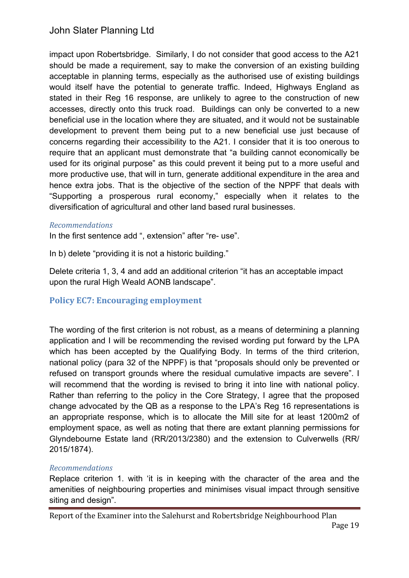impact upon Robertsbridge. Similarly, I do not consider that good access to the A21 should be made a requirement, say to make the conversion of an existing building acceptable in planning terms, especially as the authorised use of existing buildings would itself have the potential to generate traffic. Indeed, Highways England as stated in their Reg 16 response, are unlikely to agree to the construction of new accesses, directly onto this truck road. Buildings can only be converted to a new beneficial use in the location where they are situated, and it would not be sustainable development to prevent them being put to a new beneficial use just because of concerns regarding their accessibility to the A21. I consider that it is too onerous to require that an applicant must demonstrate that "a building cannot economically be used for its original purpose" as this could prevent it being put to a more useful and more productive use, that will in turn, generate additional expenditure in the area and hence extra jobs. That is the objective of the section of the NPPF that deals with "Supporting a prosperous rural economy," especially when it relates to the diversification of agricultural and other land based rural businesses.

#### *Recommendations*

In the first sentence add ", extension" after "re- use".

In b) delete "providing it is not a historic building."

Delete criteria 1, 3, 4 and add an additional criterion "it has an acceptable impact upon the rural High Weald AONB landscape".

## **Policy EC7: Encouraging employment**

The wording of the first criterion is not robust, as a means of determining a planning application and I will be recommending the revised wording put forward by the LPA which has been accepted by the Qualifying Body. In terms of the third criterion, national policy (para 32 of the NPPF) is that "proposals should only be prevented or refused on transport grounds where the residual cumulative impacts are severe". I will recommend that the wording is revised to bring it into line with national policy. Rather than referring to the policy in the Core Strategy, I agree that the proposed change advocated by the QB as a response to the LPA's Reg 16 representations is an appropriate response, which is to allocate the Mill site for at least 1200m2 of employment space, as well as noting that there are extant planning permissions for Glyndebourne Estate land (RR/2013/2380) and the extension to Culverwells (RR/ 2015/1874).

#### *Recommendations*

Replace criterion 1. with 'it is in keeping with the character of the area and the amenities of neighbouring properties and minimises visual impact through sensitive siting and design".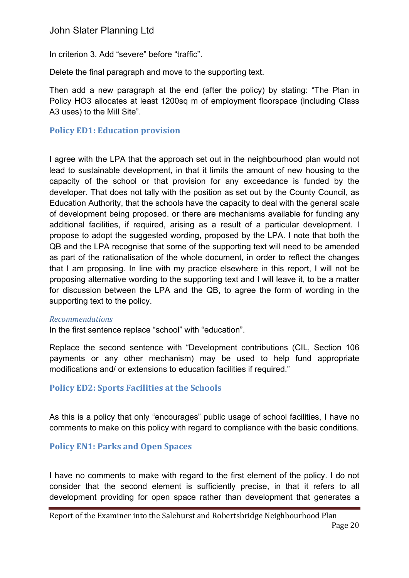In criterion 3. Add "severe" before "traffic".

Delete the final paragraph and move to the supporting text.

Then add a new paragraph at the end (after the policy) by stating: "The Plan in Policy HO3 allocates at least 1200sq m of employment floorspace (including Class A3 uses) to the Mill Site".

## **Policy ED1: Education provision**

I agree with the LPA that the approach set out in the neighbourhood plan would not lead to sustainable development, in that it limits the amount of new housing to the capacity of the school or that provision for any exceedance is funded by the developer. That does not tally with the position as set out by the County Council, as Education Authority, that the schools have the capacity to deal with the general scale of development being proposed. or there are mechanisms available for funding any additional facilities, if required, arising as a result of a particular development. I propose to adopt the suggested wording, proposed by the LPA. I note that both the QB and the LPA recognise that some of the supporting text will need to be amended as part of the rationalisation of the whole document, in order to reflect the changes that I am proposing. In line with my practice elsewhere in this report, I will not be proposing alternative wording to the supporting text and I will leave it, to be a matter for discussion between the LPA and the QB, to agree the form of wording in the supporting text to the policy.

#### *Recommendations*

In the first sentence replace "school" with "education".

Replace the second sentence with "Development contributions (CIL, Section 106 payments or any other mechanism) may be used to help fund appropriate modifications and/ or extensions to education facilities if required."

## **Policy ED2: Sports Facilities at the Schools**

As this is a policy that only "encourages" public usage of school facilities, I have no comments to make on this policy with regard to compliance with the basic conditions.

## **Policy EN1: Parks and Open Spaces**

I have no comments to make with regard to the first element of the policy. I do not consider that the second element is sufficiently precise, in that it refers to all development providing for open space rather than development that generates a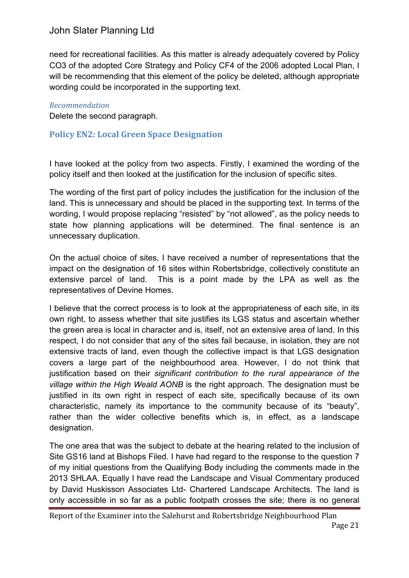need for recreational facilities. As this matter is already adequately covered by Policy CO3 of the adopted Core Strategy and Policy CF4 of the 2006 adopted Local Plan, I will be recommending that this element of the policy be deleted, although appropriate wording could be incorporated in the supporting text.

#### *Recommendation*

Delete the second paragraph.

## **Policy EN2: Local Green Space Designation**

I have looked at the policy from two aspects. Firstly, I examined the wording of the policy itself and then looked at the justification for the inclusion of specific sites.

The wording of the first part of policy includes the justification for the inclusion of the land. This is unnecessary and should be placed in the supporting text. In terms of the wording, I would propose replacing "resisted" by "not allowed", as the policy needs to state how planning applications will be determined. The final sentence is an unnecessary duplication.

On the actual choice of sites, I have received a number of representations that the impact on the designation of 16 sites within Robertsbridge, collectively constitute an extensive parcel of land. This is a point made by the LPA as well as the representatives of Devine Homes.

I believe that the correct process is to look at the appropriateness of each site, in its own right, to assess whether that site justifies its LGS status and ascertain whether the green area is local in character and is, itself, not an extensive area of land. In this respect, I do not consider that any of the sites fail because, in isolation, they are not extensive tracts of land, even though the collective impact is that LGS designation covers a large part of the neighbourhood area. However, I do not think that justification based on their *significant contribution to the rural appearance of the village within the High Weald AONB* is the right approach. The designation must be justified in its own right in respect of each site, specifically because of its own characteristic, namely its importance to the community because of its "beauty", rather than the wider collective benefits which is, in effect, as a landscape designation.

The one area that was the subject to debate at the hearing related to the inclusion of Site GS16 land at Bishops Filed. I have had regard to the response to the question 7 of my initial questions from the Qualifying Body including the comments made in the 2013 SHLAA. Equally I have read the Landscape and Visual Commentary produced by David Huskisson Associates Ltd- Chartered Landscape Architects. The land is only accessible in so far as a public footpath crosses the site; there is no general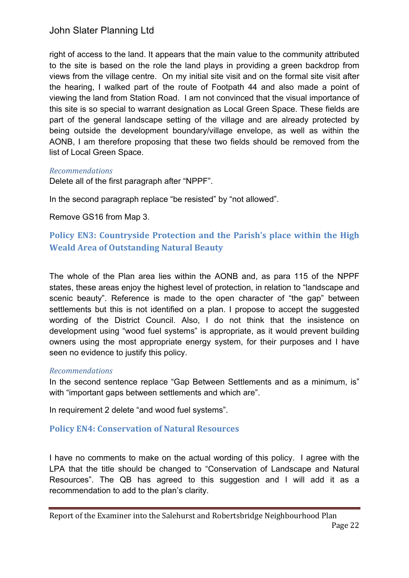right of access to the land. It appears that the main value to the community attributed to the site is based on the role the land plays in providing a green backdrop from views from the village centre. On my initial site visit and on the formal site visit after the hearing, I walked part of the route of Footpath 44 and also made a point of viewing the land from Station Road. I am not convinced that the visual importance of this site is so special to warrant designation as Local Green Space. These fields are part of the general landscape setting of the village and are already protected by being outside the development boundary/village envelope, as well as within the AONB, I am therefore proposing that these two fields should be removed from the list of Local Green Space.

#### *Recommendations*

Delete all of the first paragraph after "NPPF".

In the second paragraph replace "be resisted" by "not allowed".

Remove GS16 from Map 3.

# **Policy EN3: Countryside Protection and the Parish's place within the High Weald Area of Outstanding Natural Beauty**

The whole of the Plan area lies within the AONB and, as para 115 of the NPPF states, these areas enjoy the highest level of protection, in relation to "landscape and scenic beauty". Reference is made to the open character of "the gap" between settlements but this is not identified on a plan. I propose to accept the suggested wording of the District Council. Also, I do not think that the insistence on development using "wood fuel systems" is appropriate, as it would prevent building owners using the most appropriate energy system, for their purposes and I have seen no evidence to justify this policy.

#### *Recommendations*

In the second sentence replace "Gap Between Settlements and as a minimum, is" with "important gaps between settlements and which are".

In requirement 2 delete "and wood fuel systems".

## **Policy EN4: Conservation of Natural Resources**

I have no comments to make on the actual wording of this policy. I agree with the LPA that the title should be changed to "Conservation of Landscape and Natural Resources". The QB has agreed to this suggestion and I will add it as a recommendation to add to the plan's clarity.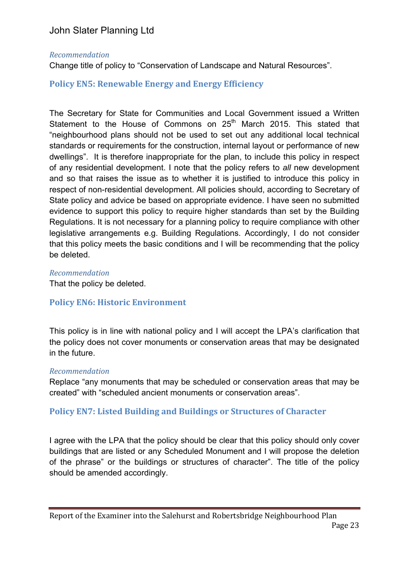#### *Recommendation*

Change title of policy to "Conservation of Landscape and Natural Resources".

### **Policy EN5: Renewable Energy and Energy Efficiency**

The Secretary for State for Communities and Local Government issued a Written Statement to the House of Commons on 25<sup>th</sup> March 2015. This stated that "neighbourhood plans should not be used to set out any additional local technical standards or requirements for the construction, internal layout or performance of new dwellings". It is therefore inappropriate for the plan, to include this policy in respect of any residential development. I note that the policy refers to *all* new development and so that raises the issue as to whether it is justified to introduce this policy in respect of non-residential development. All policies should, according to Secretary of State policy and advice be based on appropriate evidence. I have seen no submitted evidence to support this policy to require higher standards than set by the Building Regulations. It is not necessary for a planning policy to require compliance with other legislative arrangements e.g. Building Regulations. Accordingly, I do not consider that this policy meets the basic conditions and I will be recommending that the policy be deleted.

#### *Recommendation*

That the policy be deleted.

## **Policy EN6: Historic Environment**

This policy is in line with national policy and I will accept the LPA's clarification that the policy does not cover monuments or conservation areas that may be designated in the future.

#### *Recommendation*

Replace "any monuments that may be scheduled or conservation areas that may be created" with "scheduled ancient monuments or conservation areas".

#### **Policy EN7: Listed Building and Buildings or Structures of Character**

I agree with the LPA that the policy should be clear that this policy should only cover buildings that are listed or any Scheduled Monument and I will propose the deletion of the phrase" or the buildings or structures of character". The title of the policy should be amended accordingly.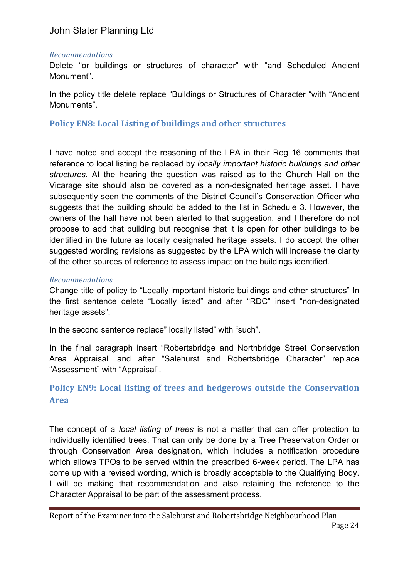#### *Recommendations*

Delete "or buildings or structures of character" with "and Scheduled Ancient Monument".

In the policy title delete replace "Buildings or Structures of Character "with "Ancient Monuments".

**Policy EN8: Local Listing of buildings and other structures** 

I have noted and accept the reasoning of the LPA in their Reg 16 comments that reference to local listing be replaced by *locally important historic buildings and other structures*. At the hearing the question was raised as to the Church Hall on the Vicarage site should also be covered as a non-designated heritage asset. I have subsequently seen the comments of the District Council's Conservation Officer who suggests that the building should be added to the list in Schedule 3. However, the owners of the hall have not been alerted to that suggestion, and I therefore do not propose to add that building but recognise that it is open for other buildings to be identified in the future as locally designated heritage assets. I do accept the other suggested wording revisions as suggested by the LPA which will increase the clarity of the other sources of reference to assess impact on the buildings identified.

#### *Recommendations*

Change title of policy to "Locally important historic buildings and other structures" In the first sentence delete "Locally listed" and after "RDC" insert "non-designated heritage assets".

In the second sentence replace" locally listed" with "such".

In the final paragraph insert "Robertsbridge and Northbridge Street Conservation Area Appraisal' and after "Salehurst and Robertsbridge Character" replace "Assessment" with "Appraisal".

# **Policy EN9: Local listing of trees and hedgerows outside the Conservation Area**

The concept of a *local listing of trees* is not a matter that can offer protection to individually identified trees. That can only be done by a Tree Preservation Order or through Conservation Area designation, which includes a notification procedure which allows TPOs to be served within the prescribed 6-week period. The LPA has come up with a revised wording, which is broadly acceptable to the Qualifying Body. I will be making that recommendation and also retaining the reference to the Character Appraisal to be part of the assessment process.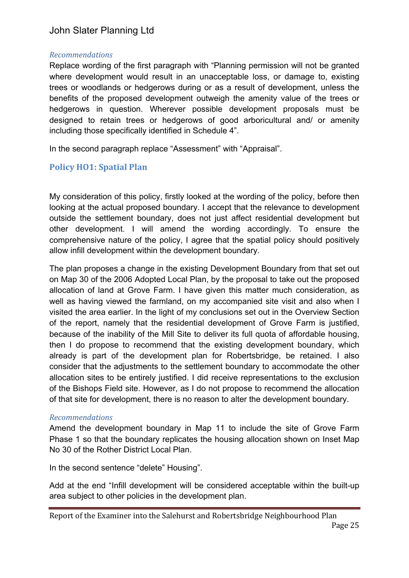#### *Recommendations*

Replace wording of the first paragraph with "Planning permission will not be granted where development would result in an unacceptable loss, or damage to, existing trees or woodlands or hedgerows during or as a result of development, unless the benefits of the proposed development outweigh the amenity value of the trees or hedgerows in question. Wherever possible development proposals must be designed to retain trees or hedgerows of good arboricultural and/ or amenity including those specifically identified in Schedule 4".

In the second paragraph replace "Assessment" with "Appraisal".

## **Policy HO1: Spatial Plan**

My consideration of this policy, firstly looked at the wording of the policy, before then looking at the actual proposed boundary. I accept that the relevance to development outside the settlement boundary, does not just affect residential development but other development. I will amend the wording accordingly. To ensure the comprehensive nature of the policy, I agree that the spatial policy should positively allow infill development within the development boundary.

The plan proposes a change in the existing Development Boundary from that set out on Map 30 of the 2006 Adopted Local Plan, by the proposal to take out the proposed allocation of land at Grove Farm. I have given this matter much consideration, as well as having viewed the farmland, on my accompanied site visit and also when I visited the area earlier. In the light of my conclusions set out in the Overview Section of the report, namely that the residential development of Grove Farm is justified, because of the inability of the Mill Site to deliver its full quota of affordable housing, then I do propose to recommend that the existing development boundary, which already is part of the development plan for Robertsbridge, be retained. I also consider that the adjustments to the settlement boundary to accommodate the other allocation sites to be entirely justified. I did receive representations to the exclusion of the Bishops Field site. However, as I do not propose to recommend the allocation of that site for development, there is no reason to alter the development boundary.

#### *Recommendations*

Amend the development boundary in Map 11 to include the site of Grove Farm Phase 1 so that the boundary replicates the housing allocation shown on Inset Map No 30 of the Rother District Local Plan.

In the second sentence "delete" Housing".

Add at the end "Infill development will be considered acceptable within the built-up area subject to other policies in the development plan.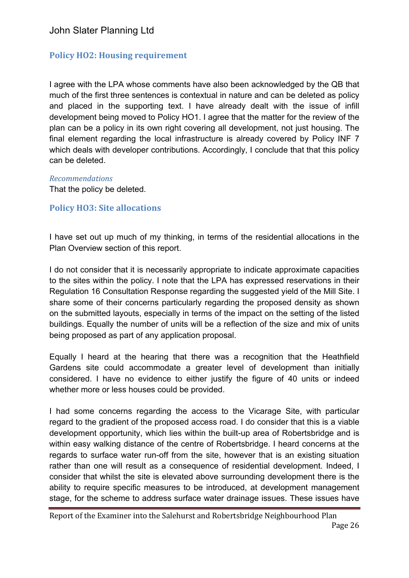# **Policy HO2: Housing requirement**

I agree with the LPA whose comments have also been acknowledged by the QB that much of the first three sentences is contextual in nature and can be deleted as policy and placed in the supporting text. I have already dealt with the issue of infill development being moved to Policy HO1. I agree that the matter for the review of the plan can be a policy in its own right covering all development, not just housing. The final element regarding the local infrastructure is already covered by Policy INF 7 which deals with developer contributions. Accordingly, I conclude that that this policy can be deleted.

*Recommendations*

That the policy be deleted.

## **Policy HO3: Site allocations**

I have set out up much of my thinking, in terms of the residential allocations in the Plan Overview section of this report.

I do not consider that it is necessarily appropriate to indicate approximate capacities to the sites within the policy. I note that the LPA has expressed reservations in their Regulation 16 Consultation Response regarding the suggested yield of the Mill Site. I share some of their concerns particularly regarding the proposed density as shown on the submitted layouts, especially in terms of the impact on the setting of the listed buildings. Equally the number of units will be a reflection of the size and mix of units being proposed as part of any application proposal.

Equally I heard at the hearing that there was a recognition that the Heathfield Gardens site could accommodate a greater level of development than initially considered. I have no evidence to either justify the figure of 40 units or indeed whether more or less houses could be provided.

I had some concerns regarding the access to the Vicarage Site, with particular regard to the gradient of the proposed access road. I do consider that this is a viable development opportunity, which lies within the built-up area of Robertsbridge and is within easy walking distance of the centre of Robertsbridge. I heard concerns at the regards to surface water run-off from the site, however that is an existing situation rather than one will result as a consequence of residential development. Indeed, I consider that whilst the site is elevated above surrounding development there is the ability to require specific measures to be introduced, at development management stage, for the scheme to address surface water drainage issues. These issues have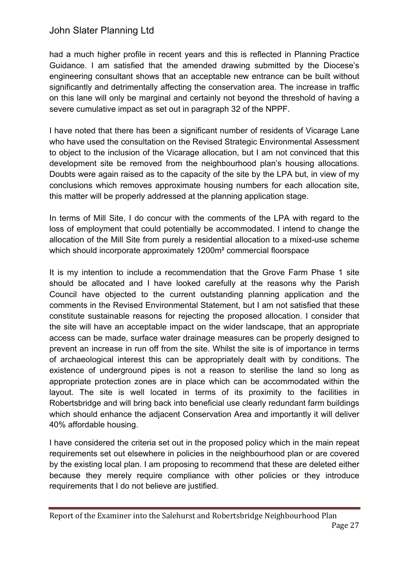had a much higher profile in recent years and this is reflected in Planning Practice Guidance. I am satisfied that the amended drawing submitted by the Diocese's engineering consultant shows that an acceptable new entrance can be built without significantly and detrimentally affecting the conservation area. The increase in traffic on this lane will only be marginal and certainly not beyond the threshold of having a severe cumulative impact as set out in paragraph 32 of the NPPF.

I have noted that there has been a significant number of residents of Vicarage Lane who have used the consultation on the Revised Strategic Environmental Assessment to object to the inclusion of the Vicarage allocation, but I am not convinced that this development site be removed from the neighbourhood plan's housing allocations. Doubts were again raised as to the capacity of the site by the LPA but, in view of my conclusions which removes approximate housing numbers for each allocation site, this matter will be properly addressed at the planning application stage.

In terms of Mill Site, I do concur with the comments of the LPA with regard to the loss of employment that could potentially be accommodated. I intend to change the allocation of the Mill Site from purely a residential allocation to a mixed-use scheme which should incorporate approximately 1200m² commercial floorspace

It is my intention to include a recommendation that the Grove Farm Phase 1 site should be allocated and I have looked carefully at the reasons why the Parish Council have objected to the current outstanding planning application and the comments in the Revised Environmental Statement, but I am not satisfied that these constitute sustainable reasons for rejecting the proposed allocation. I consider that the site will have an acceptable impact on the wider landscape, that an appropriate access can be made, surface water drainage measures can be properly designed to prevent an increase in run off from the site. Whilst the site is of importance in terms of archaeological interest this can be appropriately dealt with by conditions. The existence of underground pipes is not a reason to sterilise the land so long as appropriate protection zones are in place which can be accommodated within the layout. The site is well located in terms of its proximity to the facilities in Robertsbridge and will bring back into beneficial use clearly redundant farm buildings which should enhance the adjacent Conservation Area and importantly it will deliver 40% affordable housing.

I have considered the criteria set out in the proposed policy which in the main repeat requirements set out elsewhere in policies in the neighbourhood plan or are covered by the existing local plan. I am proposing to recommend that these are deleted either because they merely require compliance with other policies or they introduce requirements that I do not believe are justified.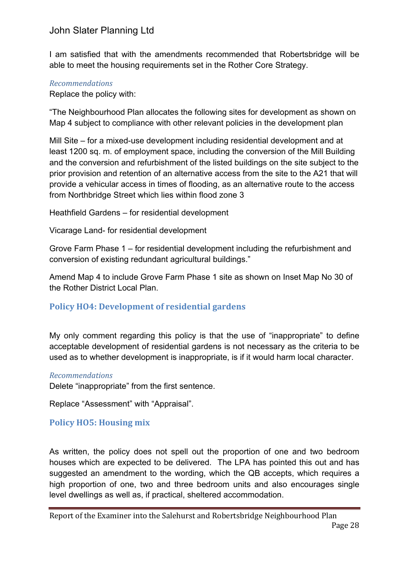I am satisfied that with the amendments recommended that Robertsbridge will be able to meet the housing requirements set in the Rother Core Strategy.

### *Recommendations*

Replace the policy with:

"The Neighbourhood Plan allocates the following sites for development as shown on Map 4 subject to compliance with other relevant policies in the development plan

Mill Site – for a mixed-use development including residential development and at least 1200 sq. m. of employment space, including the conversion of the Mill Building and the conversion and refurbishment of the listed buildings on the site subject to the prior provision and retention of an alternative access from the site to the A21 that will provide a vehicular access in times of flooding, as an alternative route to the access from Northbridge Street which lies within flood zone 3

Heathfield Gardens – for residential development

Vicarage Land- for residential development

Grove Farm Phase 1 – for residential development including the refurbishment and conversion of existing redundant agricultural buildings."

Amend Map 4 to include Grove Farm Phase 1 site as shown on Inset Map No 30 of the Rother District Local Plan.

## **Policy HO4: Development of residential gardens**

My only comment regarding this policy is that the use of "inappropriate" to define acceptable development of residential gardens is not necessary as the criteria to be used as to whether development is inappropriate, is if it would harm local character.

#### *Recommendations*

Delete "inappropriate" from the first sentence.

Replace "Assessment" with "Appraisal".

## **Policy HO5: Housing mix**

As written, the policy does not spell out the proportion of one and two bedroom houses which are expected to be delivered. The LPA has pointed this out and has suggested an amendment to the wording, which the QB accepts, which requires a high proportion of one, two and three bedroom units and also encourages single level dwellings as well as, if practical, sheltered accommodation.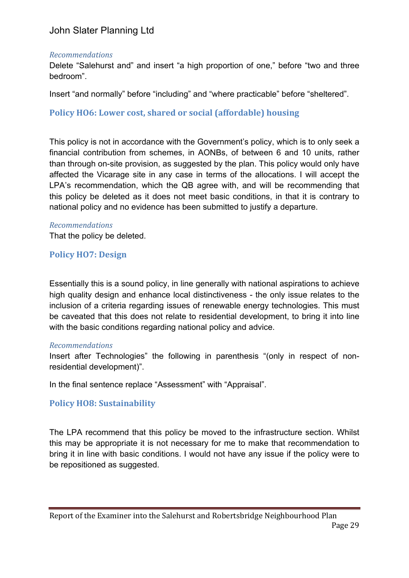#### *Recommendations*

Delete "Salehurst and" and insert "a high proportion of one," before "two and three bedroom".

Insert "and normally" before "including" and "where practicable" before "sheltered".

## **Policy HO6: Lower cost, shared or social (affordable) housing**

This policy is not in accordance with the Government's policy, which is to only seek a financial contribution from schemes, in AONBs, of between 6 and 10 units, rather than through on-site provision, as suggested by the plan. This policy would only have affected the Vicarage site in any case in terms of the allocations. I will accept the LPA's recommendation, which the QB agree with, and will be recommending that this policy be deleted as it does not meet basic conditions, in that it is contrary to national policy and no evidence has been submitted to justify a departure.

#### *Recommendations*

That the policy be deleted.

## **Policy HO7: Design**

Essentially this is a sound policy, in line generally with national aspirations to achieve high quality design and enhance local distinctiveness - the only issue relates to the inclusion of a criteria regarding issues of renewable energy technologies. This must be caveated that this does not relate to residential development, to bring it into line with the basic conditions regarding national policy and advice.

#### *Recommendations*

Insert after Technologies" the following in parenthesis "(only in respect of nonresidential development)".

In the final sentence replace "Assessment" with "Appraisal".

## **Policy HO8: Sustainability**

The LPA recommend that this policy be moved to the infrastructure section. Whilst this may be appropriate it is not necessary for me to make that recommendation to bring it in line with basic conditions. I would not have any issue if the policy were to be repositioned as suggested.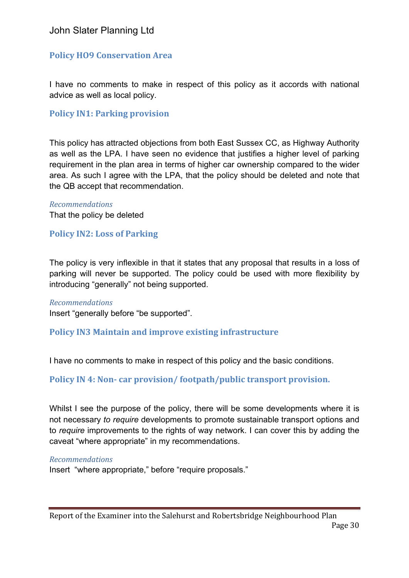## **Policy HO9 Conservation Area**

I have no comments to make in respect of this policy as it accords with national advice as well as local policy.

#### **Policy IN1: Parking provision**

This policy has attracted objections from both East Sussex CC, as Highway Authority as well as the LPA. I have seen no evidence that justifies a higher level of parking requirement in the plan area in terms of higher car ownership compared to the wider area. As such I agree with the LPA, that the policy should be deleted and note that the QB accept that recommendation.

*Recommendations* That the policy be deleted

#### **Policy IN2: Loss of Parking**

The policy is very inflexible in that it states that any proposal that results in a loss of parking will never be supported. The policy could be used with more flexibility by introducing "generally" not being supported.

#### *Recommendations*

Insert "generally before "be supported".

#### **Policy IN3 Maintain and improve existing infrastructure**

I have no comments to make in respect of this policy and the basic conditions.

**Policy IN 4: Non-** car provision/ footpath/public transport provision.

Whilst I see the purpose of the policy, there will be some developments where it is not necessary *to require* developments to promote sustainable transport options and to *require* improvements to the rights of way network. I can cover this by adding the caveat "where appropriate" in my recommendations.

#### *Recommendations*

Insert "where appropriate," before "require proposals."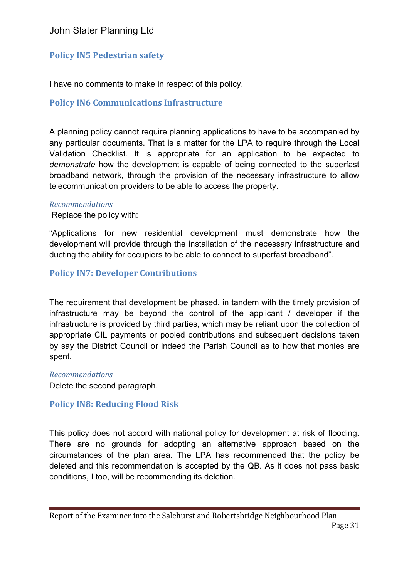# **Policy IN5 Pedestrian safety**

I have no comments to make in respect of this policy.

## **Policy IN6 Communications Infrastructure**

A planning policy cannot require planning applications to have to be accompanied by any particular documents. That is a matter for the LPA to require through the Local Validation Checklist. It is appropriate for an application to be expected to *demonstrate* how the development is capable of being connected to the superfast broadband network, through the provision of the necessary infrastructure to allow telecommunication providers to be able to access the property.

#### *Recommendations*

Replace the policy with:

"Applications for new residential development must demonstrate how the development will provide through the installation of the necessary infrastructure and ducting the ability for occupiers to be able to connect to superfast broadband".

## **Policy IN7: Developer Contributions**

The requirement that development be phased, in tandem with the timely provision of infrastructure may be beyond the control of the applicant / developer if the infrastructure is provided by third parties, which may be reliant upon the collection of appropriate CIL payments or pooled contributions and subsequent decisions taken by say the District Council or indeed the Parish Council as to how that monies are spent.

*Recommendations*

Delete the second paragraph.

## **Policy IN8: Reducing Flood Risk**

This policy does not accord with national policy for development at risk of flooding. There are no grounds for adopting an alternative approach based on the circumstances of the plan area. The LPA has recommended that the policy be deleted and this recommendation is accepted by the QB. As it does not pass basic conditions, I too, will be recommending its deletion.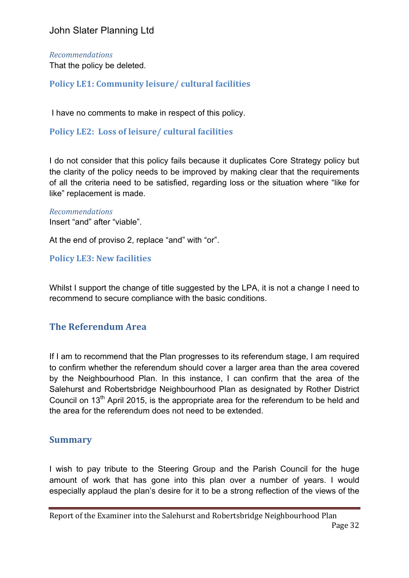#### *Recommendations*

That the policy be deleted.

## **Policy LE1: Community leisure/ cultural facilities**

I have no comments to make in respect of this policy.

## Policy LE2: Loss of leisure/ cultural facilities

I do not consider that this policy fails because it duplicates Core Strategy policy but the clarity of the policy needs to be improved by making clear that the requirements of all the criteria need to be satisfied, regarding loss or the situation where "like for like" replacement is made.

#### *Recommendations*

Insert "and" after "viable".

At the end of proviso 2, replace "and" with "or".

## **Policy LE3: New facilities**

Whilst I support the change of title suggested by the LPA, it is not a change I need to recommend to secure compliance with the basic conditions.

## **The Referendum Area**

If I am to recommend that the Plan progresses to its referendum stage, I am required to confirm whether the referendum should cover a larger area than the area covered by the Neighbourhood Plan. In this instance, I can confirm that the area of the Salehurst and Robertsbridge Neighbourhood Plan as designated by Rother District Council on 13<sup>th</sup> April 2015, is the appropriate area for the referendum to be held and the area for the referendum does not need to be extended.

## **Summary**

I wish to pay tribute to the Steering Group and the Parish Council for the huge amount of work that has gone into this plan over a number of years. I would especially applaud the plan's desire for it to be a strong reflection of the views of the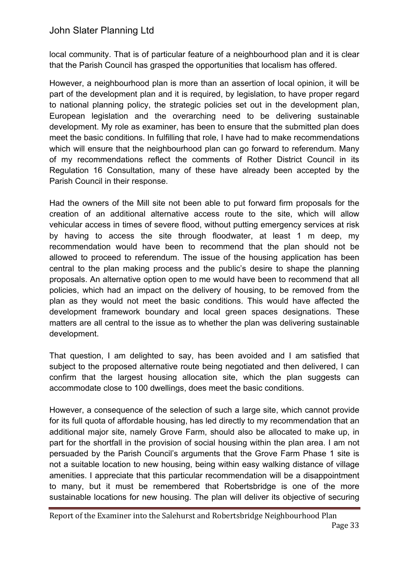local community. That is of particular feature of a neighbourhood plan and it is clear that the Parish Council has grasped the opportunities that localism has offered.

However, a neighbourhood plan is more than an assertion of local opinion, it will be part of the development plan and it is required, by legislation, to have proper regard to national planning policy, the strategic policies set out in the development plan, European legislation and the overarching need to be delivering sustainable development. My role as examiner, has been to ensure that the submitted plan does meet the basic conditions. In fulfilling that role, I have had to make recommendations which will ensure that the neighbourhood plan can go forward to referendum. Many of my recommendations reflect the comments of Rother District Council in its Regulation 16 Consultation, many of these have already been accepted by the Parish Council in their response.

Had the owners of the Mill site not been able to put forward firm proposals for the creation of an additional alternative access route to the site, which will allow vehicular access in times of severe flood, without putting emergency services at risk by having to access the site through floodwater, at least 1 m deep, my recommendation would have been to recommend that the plan should not be allowed to proceed to referendum. The issue of the housing application has been central to the plan making process and the public's desire to shape the planning proposals. An alternative option open to me would have been to recommend that all policies, which had an impact on the delivery of housing, to be removed from the plan as they would not meet the basic conditions. This would have affected the development framework boundary and local green spaces designations. These matters are all central to the issue as to whether the plan was delivering sustainable development.

That question, I am delighted to say, has been avoided and I am satisfied that subject to the proposed alternative route being negotiated and then delivered, I can confirm that the largest housing allocation site, which the plan suggests can accommodate close to 100 dwellings, does meet the basic conditions.

However, a consequence of the selection of such a large site, which cannot provide for its full quota of affordable housing, has led directly to my recommendation that an additional major site, namely Grove Farm, should also be allocated to make up, in part for the shortfall in the provision of social housing within the plan area. I am not persuaded by the Parish Council's arguments that the Grove Farm Phase 1 site is not a suitable location to new housing, being within easy walking distance of village amenities. I appreciate that this particular recommendation will be a disappointment to many, but it must be remembered that Robertsbridge is one of the more sustainable locations for new housing. The plan will deliver its objective of securing